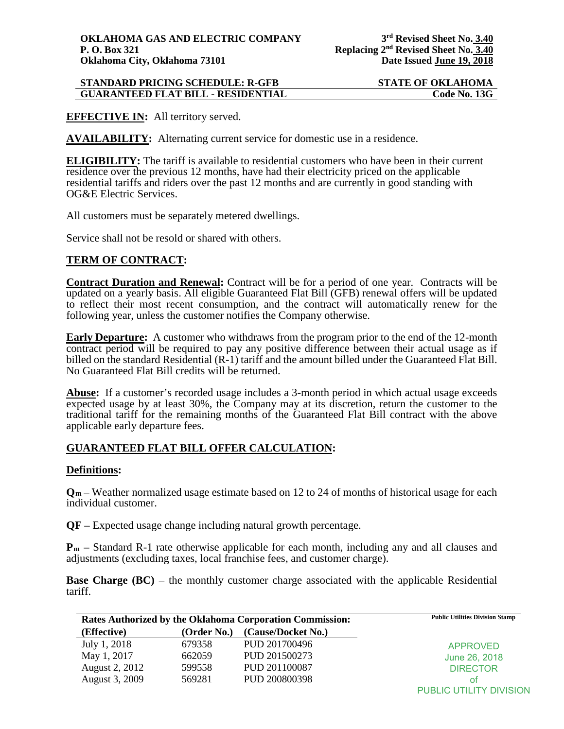| <b>STANDARD PRICING SCHEDULE: R-GFB</b>   | <b>STATE OF OKLAHOMA</b> |
|-------------------------------------------|--------------------------|
| <b>GUARANTEED FLAT BILL - RESIDENTIAL</b> | Code No. 13G             |

**EFFECTIVE IN:** All territory served.

**AVAILABILITY:** Alternating current service for domestic use in a residence.

**ELIGIBILITY:** The tariff is available to residential customers who have been in their current residence over the previous 12 months, have had their electricity priced on the applicable residential tariffs and riders over the past 12 months and are currently in good standing with OG&E Electric Services.

All customers must be separately metered dwellings.

Service shall not be resold or shared with others.

## **TERM OF CONTRACT:**

**Contract Duration and Renewal:** Contract will be for a period of one year. Contracts will be updated on a yearly basis. All eligible Guaranteed Flat Bill (GFB) renewal offers will be updated to reflect their most recent consumption, and the contract will automatically renew for the following year, unless the customer notifies the Company otherwise.

**Early Departure:** A customer who withdraws from the program prior to the end of the 12-month contract period will be required to pay any positive difference between their actual usage as if billed on the standard Residential (R-1) tariff and the amount billed under the Guaranteed Flat Bill. No Guaranteed Flat Bill credits will be returned.

**Abuse:** If a customer's recorded usage includes a 3-month period in which actual usage exceeds expected usage by at least 30%, the Company may at its discretion, return the customer to the traditional tariff for the remaining months of the Guaranteed Flat Bill contract with the above applicable early departure fees.

## **GUARANTEED FLAT BILL OFFER CALCULATION:**

## **Definitions:**

**Qm** – Weather normalized usage estimate based on 12 to 24 of months of historical usage for each individual customer.

**QF –** Expected usage change including natural growth percentage.

**Pm –** Standard R-1 rate otherwise applicable for each month, including any and all clauses and adjustments (excluding taxes, local franchise fees, and customer charge).

**Base Charge (BC)** – the monthly customer charge associated with the applicable Residential tariff.

| Rates Authorized by the Oklahoma Corporation Commission: |             |                    | <b>Public Utilities Division Stamp</b> |
|----------------------------------------------------------|-------------|--------------------|----------------------------------------|
| (Effective)                                              | (Order No.) | (Cause/Docket No.) |                                        |
| July 1, 2018                                             | 679358      | PUD 201700496      | <b>APPROVED</b>                        |
| May 1, 2017                                              | 662059      | PUD 201500273      | June 26, 2018                          |
| August 2, 2012                                           | 599558      | PUD 201100087      | <b>DIRECTOR</b>                        |
| August 3, 2009                                           | 569281      | PUD 200800398      | οt                                     |
|                                                          |             |                    | PUBLIC UTILITY DIVISION                |